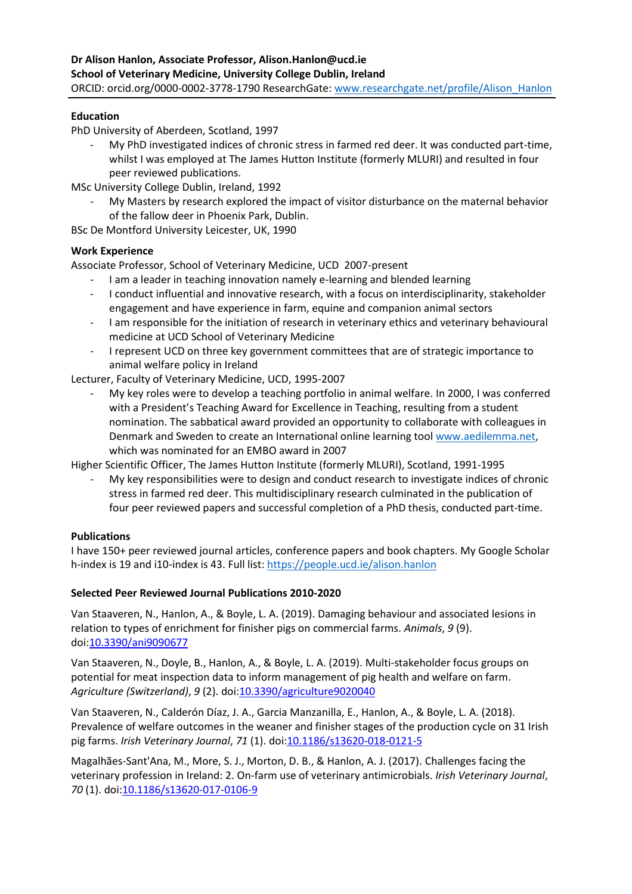## **Education**

PhD University of Aberdeen, Scotland, 1997

My PhD investigated indices of chronic stress in farmed red deer. It was conducted part-time, whilst I was employed at The James Hutton Institute (formerly MLURI) and resulted in four peer reviewed publications.

MSc University College Dublin, Ireland, 1992

My Masters by research explored the impact of visitor disturbance on the maternal behavior of the fallow deer in Phoenix Park, Dublin.

BSc De Montford University Leicester, UK, 1990

## **Work Experience**

Associate Professor, School of Veterinary Medicine, UCD 2007-present

- I am a leader in teaching innovation namely e-learning and blended learning
- I conduct influential and innovative research, with a focus on interdisciplinarity, stakeholder engagement and have experience in farm, equine and companion animal sectors
- I am responsible for the initiation of research in veterinary ethics and veterinary behavioural medicine at UCD School of Veterinary Medicine
- I represent UCD on three key government committees that are of strategic importance to animal welfare policy in Ireland

Lecturer, Faculty of Veterinary Medicine, UCD, 1995-2007

My key roles were to develop a teaching portfolio in animal welfare. In 2000, I was conferred with a President's Teaching Award for Excellence in Teaching, resulting from a student nomination. The sabbatical award provided an opportunity to collaborate with colleagues in Denmark and Sweden to create an International online learning tool [www.aedilemma.net,](http://www.aedilemma.net/) which was nominated for an EMBO award in 2007

Higher Scientific Officer, The James Hutton Institute (formerly MLURI), Scotland, 1991-1995

- My key responsibilities were to design and conduct research to investigate indices of chronic stress in farmed red deer. This multidisciplinary research culminated in the publication of four peer reviewed papers and successful completion of a PhD thesis, conducted part-time.

## **Publications**

I have 150+ peer reviewed journal articles, conference papers and book chapters. My Google Scholar h-index is 19 and i10-index is 43. Full list[: https://people.ucd.ie/alison.hanlon](https://people.ucd.ie/alison.hanlon)

## **Selected Peer Reviewed Journal Publications 2010-2020**

Van Staaveren, N., Hanlon, A., & Boyle, L. A. (2019). Damaging behaviour and associated lesions in relation to types of enrichment for finisher pigs on commercial farms. *Animals*, *9* (9). doi[:10.3390/ani9090677](http://doi.org/10.3390/ani9090677)

Van Staaveren, N., Doyle, B., Hanlon, A., & Boyle, L. A. (2019). Multi-stakeholder focus groups on potential for meat inspection data to inform management of pig health and welfare on farm. *Agriculture (Switzerland)*, *9* (2). doi[:10.3390/agriculture9020040](http://doi.org/10.3390/agriculture9020040)

Van Staaveren, N., Calderón Díaz, J. A., Garcia Manzanilla, E., Hanlon, A., & Boyle, L. A. (2018). Prevalence of welfare outcomes in the weaner and finisher stages of the production cycle on 31 Irish pig farms. *Irish Veterinary Journal*, *71* (1). doi[:10.1186/s13620-018-0121-5](http://doi.org/10.1186/s13620-018-0121-5)

Magalhães-Sant'Ana, M., More, S. J., Morton, D. B., & Hanlon, A. J. (2017). Challenges facing the veterinary profession in Ireland: 2. On-farm use of veterinary antimicrobials. *Irish Veterinary Journal*, *70* (1). doi[:10.1186/s13620-017-0106-9](http://doi.org/10.1186/s13620-017-0106-9)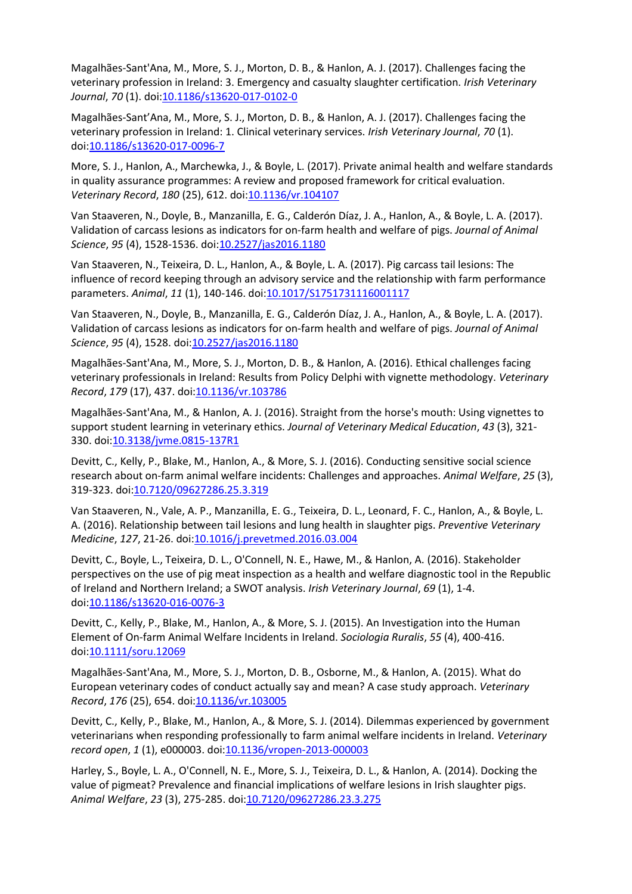Magalhães-Sant'Ana, M., More, S. J., Morton, D. B., & Hanlon, A. J. (2017). Challenges facing the veterinary profession in Ireland: 3. Emergency and casualty slaughter certification. *Irish Veterinary*  Journal, 70 (1). doi: 10.1186/s13620-017-0102-0

Magalhães-Sant'Ana, M., More, S. J., Morton, D. B., & Hanlon, A. J. (2017). Challenges facing the veterinary profession in Ireland: 1. Clinical veterinary services. *Irish Veterinary Journal*, *70* (1). doi[:10.1186/s13620-017-0096-7](http://doi.org/10.1186/s13620-017-0096-7)

More, S. J., Hanlon, A., Marchewka, J., & Boyle, L. (2017). Private animal health and welfare standards in quality assurance programmes: A review and proposed framework for critical evaluation. *Veterinary Record*, *180* (25), 612. doi[:10.1136/vr.104107](http://doi.org/10.1136/vr.104107)

Van Staaveren, N., Doyle, B., Manzanilla, E. G., Calderón Díaz, J. A., Hanlon, A., & Boyle, L. A. (2017). Validation of carcass lesions as indicators for on-farm health and welfare of pigs. *Journal of Animal Science*, 95 (4), 1528-1536. doi: 10.2527/jas2016.1180

Van Staaveren, N., Teixeira, D. L., Hanlon, A., & Boyle, L. A. (2017). Pig carcass tail lesions: The influence of record keeping through an advisory service and the relationship with farm performance parameters. Animal, 11 (1), 140-146. doi: 10.1017/S1751731116001117

Van Staaveren, N., Doyle, B., Manzanilla, E. G., Calderón Díaz, J. A., Hanlon, A., & Boyle, L. A. (2017). Validation of carcass lesions as indicators for on-farm health and welfare of pigs. *Journal of Animal Science*, *95* (4), 1528. doi[:10.2527/jas2016.1180](http://doi.org/10.2527/jas2016.1180)

Magalhães-Sant'Ana, M., More, S. J., Morton, D. B., & Hanlon, A. (2016). Ethical challenges facing veterinary professionals in Ireland: Results from Policy Delphi with vignette methodology. *Veterinary Record*, *179* (17), 437. doi[:10.1136/vr.103786](http://doi.org/10.1136/vr.103786)

Magalhães-Sant'Ana, M., & Hanlon, A. J. (2016). Straight from the horse's mouth: Using vignettes to support student learning in veterinary ethics. *Journal of Veterinary Medical Education*, *43* (3), 321- 330. doi[:10.3138/jvme.0815-137R1](http://doi.org/10.3138/jvme.0815-137R1)

Devitt, C., Kelly, P., Blake, M., Hanlon, A., & More, S. J. (2016). Conducting sensitive social science research about on-farm animal welfare incidents: Challenges and approaches. *Animal Welfare*, *25* (3), 319-323. doi[:10.7120/09627286.25.3.319](http://doi.org/10.7120/09627286.25.3.319)

Van Staaveren, N., Vale, A. P., Manzanilla, E. G., Teixeira, D. L., Leonard, F. C., Hanlon, A., & Boyle, L. A. (2016). Relationship between tail lesions and lung health in slaughter pigs. *Preventive Veterinary Medicine*, *127*, 21-26. doi[:10.1016/j.prevetmed.2016.03.004](http://doi.org/10.1016/j.prevetmed.2016.03.004)

Devitt, C., Boyle, L., Teixeira, D. L., O'Connell, N. E., Hawe, M., & Hanlon, A. (2016). Stakeholder perspectives on the use of pig meat inspection as a health and welfare diagnostic tool in the Republic of Ireland and Northern Ireland; a SWOT analysis. *Irish Veterinary Journal*, *69* (1), 1-4. doi[:10.1186/s13620-016-0076-3](http://doi.org/10.1186/s13620-016-0076-3)

Devitt, C., Kelly, P., Blake, M., Hanlon, A., & More, S. J. (2015). An Investigation into the Human Element of On-farm Animal Welfare Incidents in Ireland. *Sociologia Ruralis*, *55* (4), 400-416. doi[:10.1111/soru.12069](http://doi.org/10.1111/soru.12069)

Magalhães-Sant'Ana, M., More, S. J., Morton, D. B., Osborne, M., & Hanlon, A. (2015). What do European veterinary codes of conduct actually say and mean? A case study approach. *Veterinary Record*, *176* (25), 654. doi[:10.1136/vr.103005](http://doi.org/10.1136/vr.103005)

Devitt, C., Kelly, P., Blake, M., Hanlon, A., & More, S. J. (2014). Dilemmas experienced by government veterinarians when responding professionally to farm animal welfare incidents in Ireland. *Veterinary record open*, *1* (1), e000003. doi[:10.1136/vropen-2013-000003](http://doi.org/10.1136/vropen-2013-000003)

Harley, S., Boyle, L. A., O'Connell, N. E., More, S. J., Teixeira, D. L., & Hanlon, A. (2014). Docking the value of pigmeat? Prevalence and financial implications of welfare lesions in Irish slaughter pigs. *Animal Welfare*, *23* (3), 275-285. doi[:10.7120/09627286.23.3.275](http://doi.org/10.7120/09627286.23.3.275)